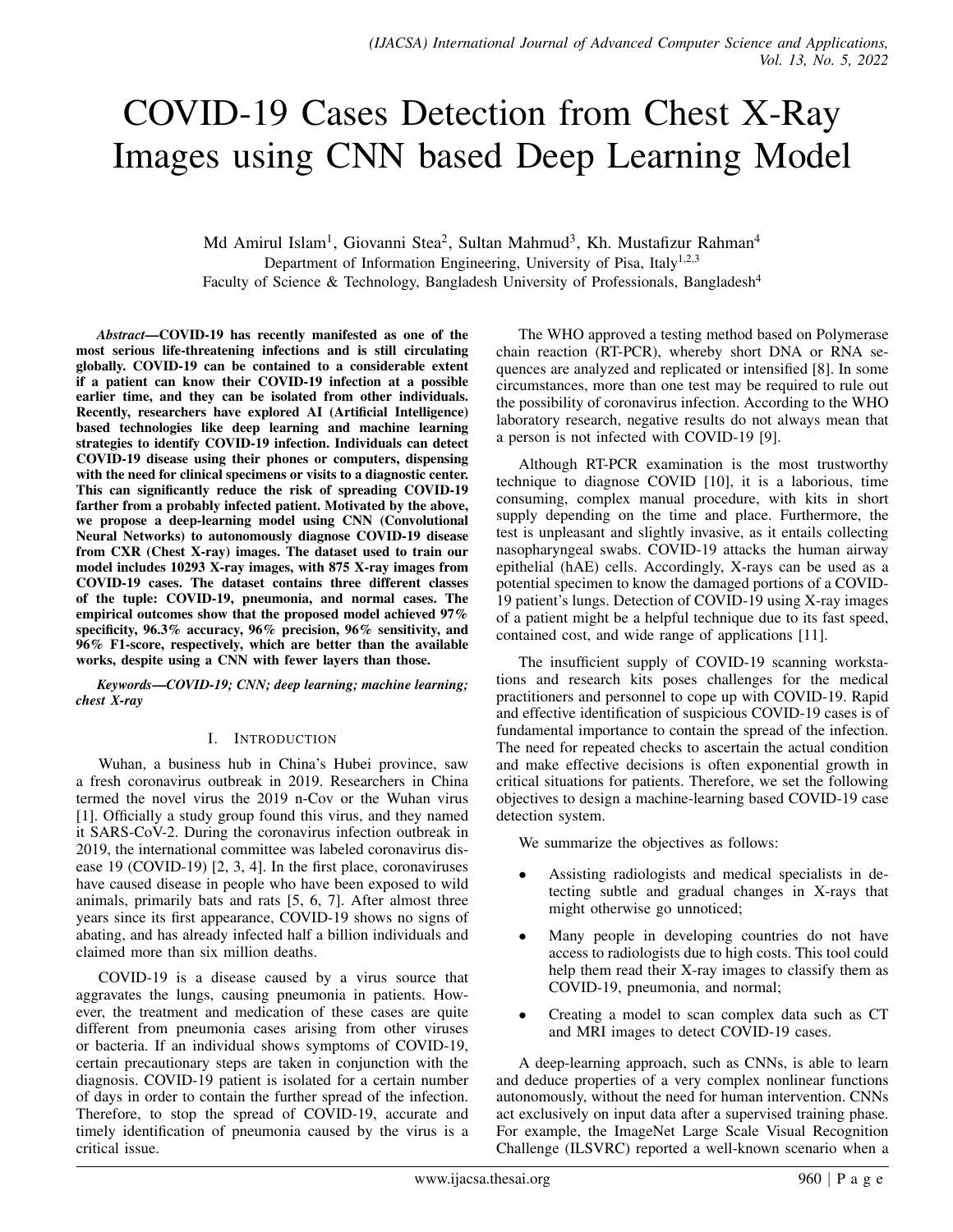# COVID-19 Cases Detection from Chest X-Ray Images using CNN based Deep Learning Model

Md Amirul Islam<sup>1</sup>, Giovanni Stea<sup>2</sup>, Sultan Mahmud<sup>3</sup>, Kh. Mustafizur Rahman<sup>4</sup> Department of Information Engineering, University of Pisa, Italy<sup>1,2,3</sup> Faculty of Science & Technology, Bangladesh University of Professionals, Bangladesh<sup>4</sup>

*Abstract*—COVID-19 has recently manifested as one of the most serious life-threatening infections and is still circulating globally. COVID-19 can be contained to a considerable extent if a patient can know their COVID-19 infection at a possible earlier time, and they can be isolated from other individuals. Recently, researchers have explored AI (Artificial Intelligence) based technologies like deep learning and machine learning strategies to identify COVID-19 infection. Individuals can detect COVID-19 disease using their phones or computers, dispensing with the need for clinical specimens or visits to a diagnostic center. This can significantly reduce the risk of spreading COVID-19 farther from a probably infected patient. Motivated by the above, we propose a deep-learning model using CNN (Convolutional Neural Networks) to autonomously diagnose COVID-19 disease from CXR (Chest X-ray) images. The dataset used to train our model includes 10293 X-ray images, with 875 X-ray images from COVID-19 cases. The dataset contains three different classes of the tuple: COVID-19, pneumonia, and normal cases. The empirical outcomes show that the proposed model achieved 97% specificity, 96.3% accuracy, 96% precision, 96% sensitivity, and 96% F1-score, respectively, which are better than the available works, despite using a CNN with fewer layers than those.

*Keywords*—*COVID-19; CNN; deep learning; machine learning; chest X-ray*

#### I. INTRODUCTION

Wuhan, a business hub in China's Hubei province, saw a fresh coronavirus outbreak in 2019. Researchers in China termed the novel virus the 2019 n-Cov or the Wuhan virus [1]. Officially a study group found this virus, and they named it SARS-CoV-2. During the coronavirus infection outbreak in 2019, the international committee was labeled coronavirus disease 19 (COVID-19) [2, 3, 4]. In the first place, coronaviruses have caused disease in people who have been exposed to wild animals, primarily bats and rats [5, 6, 7]. After almost three years since its first appearance, COVID-19 shows no signs of abating, and has already infected half a billion individuals and claimed more than six million deaths.

COVID-19 is a disease caused by a virus source that aggravates the lungs, causing pneumonia in patients. However, the treatment and medication of these cases are quite different from pneumonia cases arising from other viruses or bacteria. If an individual shows symptoms of COVID-19, certain precautionary steps are taken in conjunction with the diagnosis. COVID-19 patient is isolated for a certain number of days in order to contain the further spread of the infection. Therefore, to stop the spread of COVID-19, accurate and timely identification of pneumonia caused by the virus is a critical issue.

The WHO approved a testing method based on Polymerase chain reaction (RT-PCR), whereby short DNA or RNA sequences are analyzed and replicated or intensified [8]. In some circumstances, more than one test may be required to rule out the possibility of coronavirus infection. According to the WHO laboratory research, negative results do not always mean that a person is not infected with COVID-19 [9].

Although RT-PCR examination is the most trustworthy technique to diagnose COVID [10], it is a laborious, time consuming, complex manual procedure, with kits in short supply depending on the time and place. Furthermore, the test is unpleasant and slightly invasive, as it entails collecting nasopharyngeal swabs. COVID-19 attacks the human airway epithelial (hAE) cells. Accordingly, X-rays can be used as a potential specimen to know the damaged portions of a COVID-19 patient's lungs. Detection of COVID-19 using X-ray images of a patient might be a helpful technique due to its fast speed, contained cost, and wide range of applications [11].

The insufficient supply of COVID-19 scanning workstations and research kits poses challenges for the medical practitioners and personnel to cope up with COVID-19. Rapid and effective identification of suspicious COVID-19 cases is of fundamental importance to contain the spread of the infection. The need for repeated checks to ascertain the actual condition and make effective decisions is often exponential growth in critical situations for patients. Therefore, we set the following objectives to design a machine-learning based COVID-19 case detection system.

We summarize the objectives as follows:

- Assisting radiologists and medical specialists in detecting subtle and gradual changes in X-rays that might otherwise go unnoticed;
- Many people in developing countries do not have access to radiologists due to high costs. This tool could help them read their X-ray images to classify them as COVID-19, pneumonia, and normal;
- Creating a model to scan complex data such as CT and MRI images to detect COVID-19 cases.

A deep-learning approach, such as CNNs, is able to learn and deduce properties of a very complex nonlinear functions autonomously, without the need for human intervention. CNNs act exclusively on input data after a supervised training phase. For example, the ImageNet Large Scale Visual Recognition Challenge (ILSVRC) reported a well-known scenario when a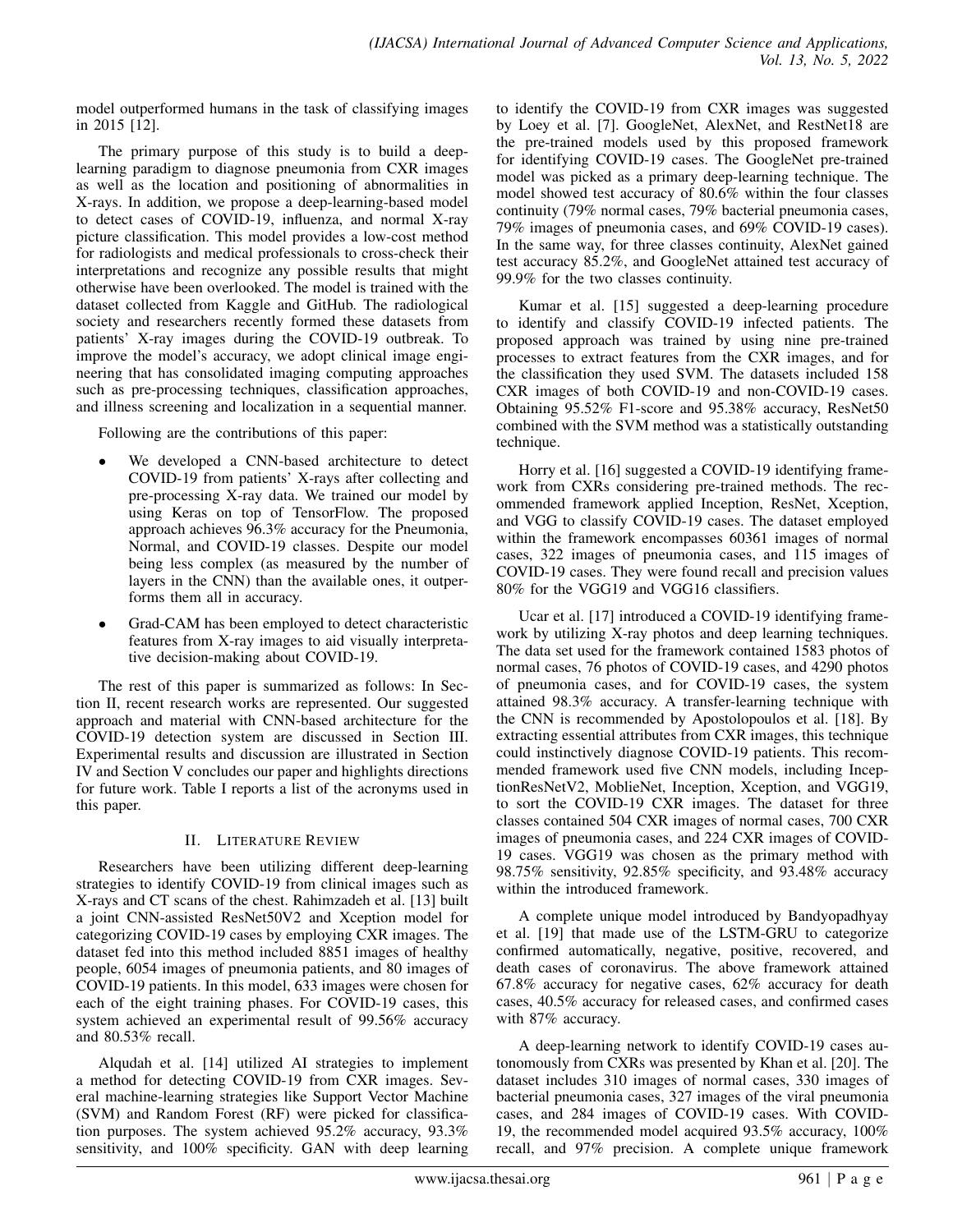model outperformed humans in the task of classifying images in 2015 [12].

The primary purpose of this study is to build a deeplearning paradigm to diagnose pneumonia from CXR images as well as the location and positioning of abnormalities in X-rays. In addition, we propose a deep-learning-based model to detect cases of COVID-19, influenza, and normal X-ray picture classification. This model provides a low-cost method for radiologists and medical professionals to cross-check their interpretations and recognize any possible results that might otherwise have been overlooked. The model is trained with the dataset collected from Kaggle and GitHub. The radiological society and researchers recently formed these datasets from patients' X-ray images during the COVID-19 outbreak. To improve the model's accuracy, we adopt clinical image engineering that has consolidated imaging computing approaches such as pre-processing techniques, classification approaches, and illness screening and localization in a sequential manner.

Following are the contributions of this paper:

- We developed a CNN-based architecture to detect COVID-19 from patients' X-rays after collecting and pre-processing X-ray data. We trained our model by using Keras on top of TensorFlow. The proposed approach achieves 96.3% accuracy for the Pneumonia, Normal, and COVID-19 classes. Despite our model being less complex (as measured by the number of layers in the CNN) than the available ones, it outperforms them all in accuracy.
- Grad-CAM has been employed to detect characteristic features from X-ray images to aid visually interpretative decision-making about COVID-19.

The rest of this paper is summarized as follows: In Section II, recent research works are represented. Our suggested approach and material with CNN-based architecture for the COVID-19 detection system are discussed in Section III. Experimental results and discussion are illustrated in Section IV and Section V concludes our paper and highlights directions for future work. Table I reports a list of the acronyms used in this paper.

## II. LITERATURE REVIEW

Researchers have been utilizing different deep-learning strategies to identify COVID-19 from clinical images such as X-rays and CT scans of the chest. Rahimzadeh et al. [13] built a joint CNN-assisted ResNet50V2 and Xception model for categorizing COVID-19 cases by employing CXR images. The dataset fed into this method included 8851 images of healthy people, 6054 images of pneumonia patients, and 80 images of COVID-19 patients. In this model, 633 images were chosen for each of the eight training phases. For COVID-19 cases, this system achieved an experimental result of 99.56% accuracy and 80.53% recall.

Alqudah et al. [14] utilized AI strategies to implement a method for detecting COVID-19 from CXR images. Several machine-learning strategies like Support Vector Machine (SVM) and Random Forest (RF) were picked for classification purposes. The system achieved 95.2% accuracy, 93.3% sensitivity, and 100% specificity. GAN with deep learning to identify the COVID-19 from CXR images was suggested by Loey et al. [7]. GoogleNet, AlexNet, and RestNet18 are the pre-trained models used by this proposed framework for identifying COVID-19 cases. The GoogleNet pre-trained model was picked as a primary deep-learning technique. The model showed test accuracy of 80.6% within the four classes continuity (79% normal cases, 79% bacterial pneumonia cases, 79% images of pneumonia cases, and 69% COVID-19 cases). In the same way, for three classes continuity, AlexNet gained test accuracy 85.2%, and GoogleNet attained test accuracy of 99.9% for the two classes continuity.

Kumar et al. [15] suggested a deep-learning procedure to identify and classify COVID-19 infected patients. The proposed approach was trained by using nine pre-trained processes to extract features from the CXR images, and for the classification they used SVM. The datasets included 158 CXR images of both COVID-19 and non-COVID-19 cases. Obtaining 95.52% F1-score and 95.38% accuracy, ResNet50 combined with the SVM method was a statistically outstanding technique.

Horry et al. [16] suggested a COVID-19 identifying framework from CXRs considering pre-trained methods. The recommended framework applied Inception, ResNet, Xception, and VGG to classify COVID-19 cases. The dataset employed within the framework encompasses 60361 images of normal cases, 322 images of pneumonia cases, and 115 images of COVID-19 cases. They were found recall and precision values 80% for the VGG19 and VGG16 classifiers.

Ucar et al. [17] introduced a COVID-19 identifying framework by utilizing X-ray photos and deep learning techniques. The data set used for the framework contained 1583 photos of normal cases, 76 photos of COVID-19 cases, and 4290 photos of pneumonia cases, and for COVID-19 cases, the system attained 98.3% accuracy. A transfer-learning technique with the CNN is recommended by Apostolopoulos et al. [18]. By extracting essential attributes from CXR images, this technique could instinctively diagnose COVID-19 patients. This recommended framework used five CNN models, including InceptionResNetV2, MoblieNet, Inception, Xception, and VGG19, to sort the COVID-19 CXR images. The dataset for three classes contained 504 CXR images of normal cases, 700 CXR images of pneumonia cases, and 224 CXR images of COVID-19 cases. VGG19 was chosen as the primary method with 98.75% sensitivity, 92.85% specificity, and 93.48% accuracy within the introduced framework.

A complete unique model introduced by Bandyopadhyay et al. [19] that made use of the LSTM-GRU to categorize confirmed automatically, negative, positive, recovered, and death cases of coronavirus. The above framework attained 67.8% accuracy for negative cases, 62% accuracy for death cases, 40.5% accuracy for released cases, and confirmed cases with 87% accuracy.

A deep-learning network to identify COVID-19 cases autonomously from CXRs was presented by Khan et al. [20]. The dataset includes 310 images of normal cases, 330 images of bacterial pneumonia cases, 327 images of the viral pneumonia cases, and 284 images of COVID-19 cases. With COVID-19, the recommended model acquired 93.5% accuracy, 100% recall, and 97% precision. A complete unique framework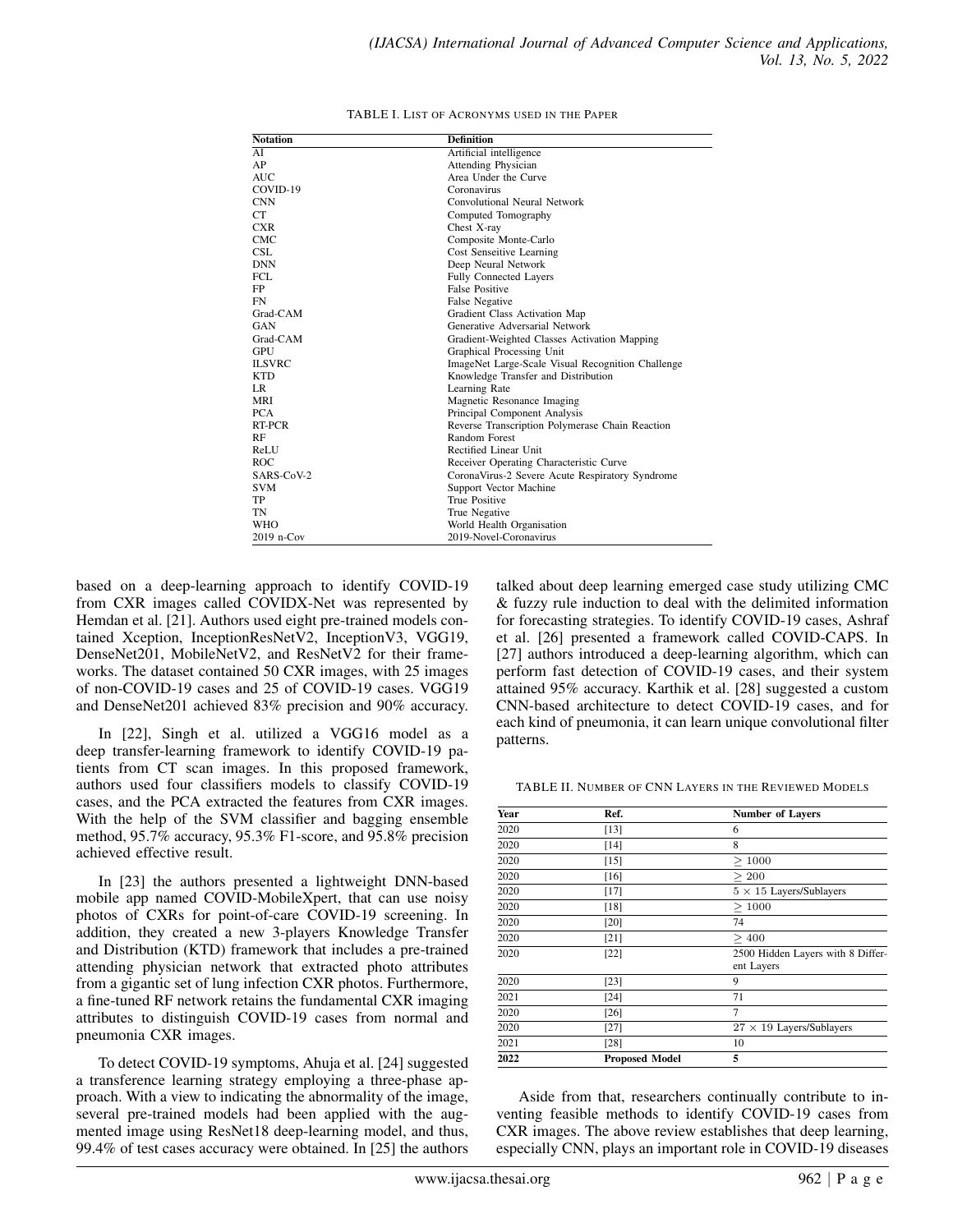| <b>Notation</b> | <b>Definition</b>                                 |  |
|-----------------|---------------------------------------------------|--|
| AI              | Artificial intelligence                           |  |
| AP              | <b>Attending Physician</b>                        |  |
| <b>AUC</b>      | Area Under the Curve                              |  |
| COVID-19        | Coronavirus                                       |  |
| <b>CNN</b>      | Convolutional Neural Network                      |  |
| CT.             | Computed Tomography                               |  |
| <b>CXR</b>      | Chest X-ray                                       |  |
| CMC             | Composite Monte-Carlo                             |  |
| <b>CSL</b>      | Cost Senseitive Learning                          |  |
| <b>DNN</b>      | Deep Neural Network                               |  |
| FCL.            | <b>Fully Connected Layers</b>                     |  |
| FP.             | <b>False Positive</b>                             |  |
| <b>FN</b>       | <b>False Negative</b>                             |  |
| Grad-CAM        | Gradient Class Activation Map                     |  |
| GAN             | Generative Adversarial Network                    |  |
| Grad-CAM        | Gradient-Weighted Classes Activation Mapping      |  |
| <b>GPU</b>      | Graphical Processing Unit                         |  |
| <b>ILSVRC</b>   | ImageNet Large-Scale Visual Recognition Challenge |  |
| <b>KTD</b>      | Knowledge Transfer and Distribution               |  |
| LR.             | Learning Rate                                     |  |
| <b>MRI</b>      | Magnetic Resonance Imaging                        |  |
| <b>PCA</b>      | Principal Component Analysis                      |  |
| RT-PCR          | Reverse Transcription Polymerase Chain Reaction   |  |
| RF              | Random Forest                                     |  |
| ReLU            | Rectified Linear Unit                             |  |
| ROC.            | Receiver Operating Characteristic Curve           |  |
| SARS-CoV-2      | CoronaVirus-2 Severe Acute Respiratory Syndrome   |  |
| <b>SVM</b>      | Support Vector Machine                            |  |
| TP              | <b>True Positive</b>                              |  |
| TN              | True Negative                                     |  |
| <b>WHO</b>      | World Health Organisation                         |  |
| $2019$ n-Cov    | 2019-Novel-Coronavirus                            |  |

| TABLE I. LIST OF ACRONYMS USED IN THE PAPER |  |
|---------------------------------------------|--|
|---------------------------------------------|--|

based on a deep-learning approach to identify COVID-19 from CXR images called COVIDX-Net was represented by Hemdan et al. [21]. Authors used eight pre-trained models contained Xception, InceptionResNetV2, InceptionV3, VGG19, DenseNet201, MobileNetV2, and ResNetV2 for their frameworks. The dataset contained 50 CXR images, with 25 images of non-COVID-19 cases and 25 of COVID-19 cases. VGG19 and DenseNet201 achieved 83% precision and 90% accuracy.

In [22], Singh et al. utilized a VGG16 model as a deep transfer-learning framework to identify COVID-19 patients from CT scan images. In this proposed framework, authors used four classifiers models to classify COVID-19 cases, and the PCA extracted the features from CXR images. With the help of the SVM classifier and bagging ensemble method, 95.7% accuracy, 95.3% F1-score, and 95.8% precision achieved effective result.

In [23] the authors presented a lightweight DNN-based mobile app named COVID-MobileXpert, that can use noisy photos of CXRs for point-of-care COVID-19 screening. In addition, they created a new 3-players Knowledge Transfer and Distribution (KTD) framework that includes a pre-trained attending physician network that extracted photo attributes from a gigantic set of lung infection CXR photos. Furthermore, a fine-tuned RF network retains the fundamental CXR imaging attributes to distinguish COVID-19 cases from normal and pneumonia CXR images.

To detect COVID-19 symptoms, Ahuja et al. [24] suggested a transference learning strategy employing a three-phase approach. With a view to indicating the abnormality of the image, several pre-trained models had been applied with the augmented image using ResNet18 deep-learning model, and thus, 99.4% of test cases accuracy were obtained. In [25] the authors

talked about deep learning emerged case study utilizing CMC & fuzzy rule induction to deal with the delimited information for forecasting strategies. To identify COVID-19 cases, Ashraf et al. [26] presented a framework called COVID-CAPS. In [27] authors introduced a deep-learning algorithm, which can perform fast detection of COVID-19 cases, and their system attained 95% accuracy. Karthik et al. [28] suggested a custom CNN-based architecture to detect COVID-19 cases, and for each kind of pneumonia, it can learn unique convolutional filter patterns.

TABLE II. NUMBER OF CNN LAYERS IN THE REVIEWED MODELS

| Year | Ref.                  | <b>Number of Lavers</b>                         |  |  |
|------|-----------------------|-------------------------------------------------|--|--|
| 2020 | $[13]$                | 6                                               |  |  |
| 2020 | $[14]$                | 8                                               |  |  |
| 2020 | $[15]$                | >1000                                           |  |  |
| 2020 | [16]                  | > 200                                           |  |  |
| 2020 | [17]                  | $5 \times 15$ Layers/Sublayers                  |  |  |
| 2020 | [18]                  | >1000                                           |  |  |
| 2020 | [20]                  | 74                                              |  |  |
| 2020 | [21]                  | >400                                            |  |  |
| 2020 | [22]                  | 2500 Hidden Layers with 8 Differ-<br>ent Layers |  |  |
| 2020 | $[23]$                | 9                                               |  |  |
| 2021 | [24]                  | 71                                              |  |  |
| 2020 | [26]                  | 7                                               |  |  |
| 2020 | $[27]$                | $27 \times 19$ Layers/Sublayers                 |  |  |
| 2021 | [28]                  | 10                                              |  |  |
| 2022 | <b>Proposed Model</b> | 5                                               |  |  |

Aside from that, researchers continually contribute to inventing feasible methods to identify COVID-19 cases from CXR images. The above review establishes that deep learning, especially CNN, plays an important role in COVID-19 diseases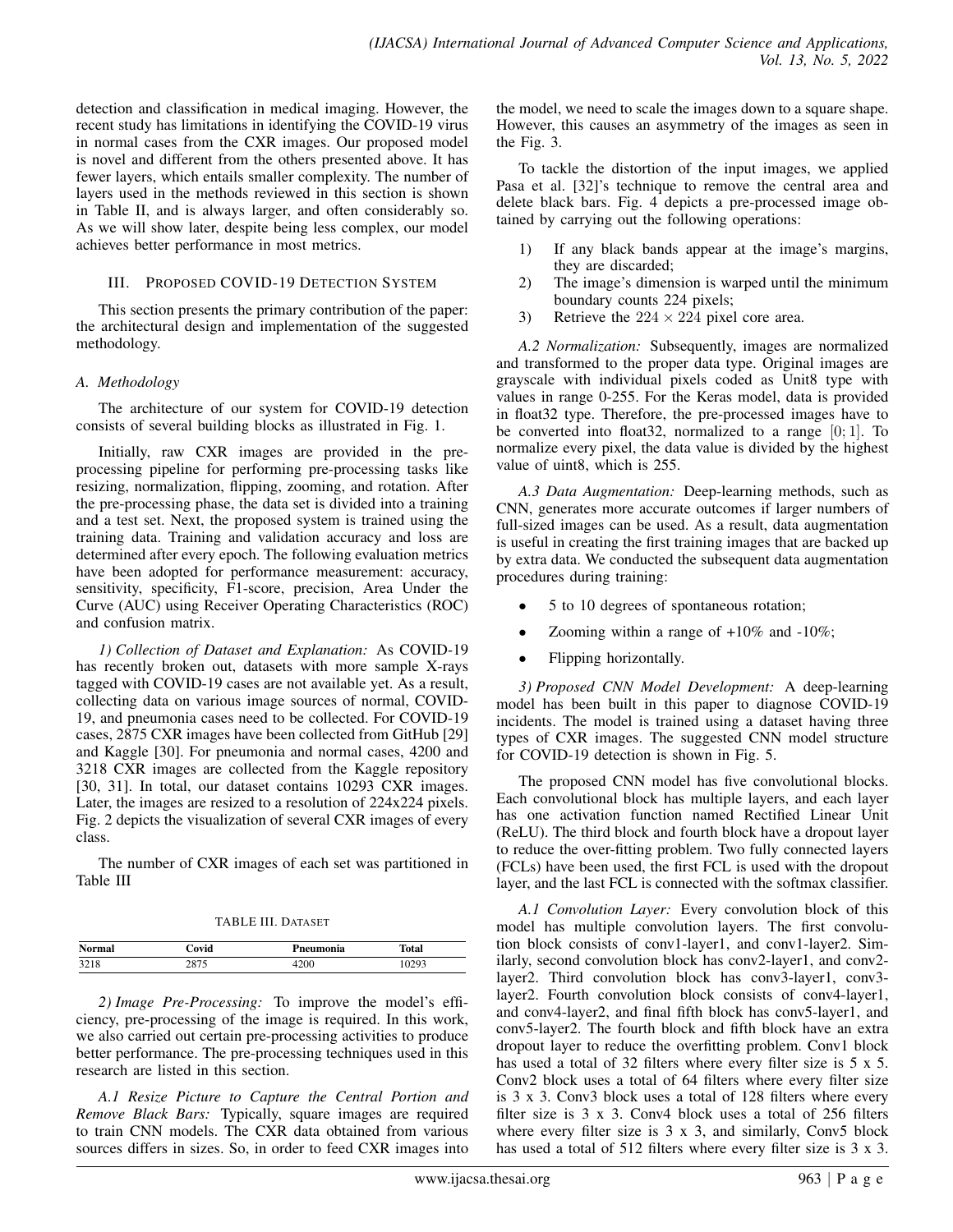detection and classification in medical imaging. However, the recent study has limitations in identifying the COVID-19 virus in normal cases from the CXR images. Our proposed model is novel and different from the others presented above. It has fewer layers, which entails smaller complexity. The number of layers used in the methods reviewed in this section is shown in Table II, and is always larger, and often considerably so. As we will show later, despite being less complex, our model achieves better performance in most metrics.

#### III. PROPOSED COVID-19 DETECTION SYSTEM

This section presents the primary contribution of the paper: the architectural design and implementation of the suggested methodology.

## *A. Methodology*

The architecture of our system for COVID-19 detection consists of several building blocks as illustrated in Fig. 1.

Initially, raw CXR images are provided in the preprocessing pipeline for performing pre-processing tasks like resizing, normalization, flipping, zooming, and rotation. After the pre-processing phase, the data set is divided into a training and a test set. Next, the proposed system is trained using the training data. Training and validation accuracy and loss are determined after every epoch. The following evaluation metrics have been adopted for performance measurement: accuracy, sensitivity, specificity, F1-score, precision, Area Under the Curve (AUC) using Receiver Operating Characteristics (ROC) and confusion matrix.

*1) Collection of Dataset and Explanation:* As COVID-19 has recently broken out, datasets with more sample X-rays tagged with COVID-19 cases are not available yet. As a result, collecting data on various image sources of normal, COVID-19, and pneumonia cases need to be collected. For COVID-19 cases, 2875 CXR images have been collected from GitHub [29] and Kaggle [30]. For pneumonia and normal cases, 4200 and 3218 CXR images are collected from the Kaggle repository [30, 31]. In total, our dataset contains 10293 CXR images. Later, the images are resized to a resolution of 224x224 pixels. Fig. 2 depicts the visualization of several CXR images of every class.

The number of CXR images of each set was partitioned in Table III

TABLE III. DATASET

| <b>Normal</b> | ∵ovid | Pneumonia | Total |
|---------------|-------|-----------|-------|
| 3218          | 075   | 200       | 10293 |

*2) Image Pre-Processing:* To improve the model's efficiency, pre-processing of the image is required. In this work, we also carried out certain pre-processing activities to produce better performance. The pre-processing techniques used in this research are listed in this section.

*A.1 Resize Picture to Capture the Central Portion and Remove Black Bars:* Typically, square images are required to train CNN models. The CXR data obtained from various sources differs in sizes. So, in order to feed CXR images into the model, we need to scale the images down to a square shape. However, this causes an asymmetry of the images as seen in the Fig. 3.

To tackle the distortion of the input images, we applied Pasa et al. [32]'s technique to remove the central area and delete black bars. Fig. 4 depicts a pre-processed image obtained by carrying out the following operations:

- 1) If any black bands appear at the image's margins, they are discarded;
- 2) The image's dimension is warped until the minimum boundary counts 224 pixels;
- 3) Retrieve the  $224 \times 224$  pixel core area.

*A.2 Normalization:* Subsequently, images are normalized and transformed to the proper data type. Original images are grayscale with individual pixels coded as Unit8 type with values in range 0-255. For the Keras model, data is provided in float32 type. Therefore, the pre-processed images have to be converted into float 32, normalized to a range  $[0; 1]$ . To normalize every pixel, the data value is divided by the highest value of uint8, which is 255.

*A.3 Data Augmentation:* Deep-learning methods, such as CNN, generates more accurate outcomes if larger numbers of full-sized images can be used. As a result, data augmentation is useful in creating the first training images that are backed up by extra data. We conducted the subsequent data augmentation procedures during training:

- 5 to 10 degrees of spontaneous rotation;
- Zooming within a range of  $+10\%$  and  $-10\%$ ;
- Flipping horizontally.

*3) Proposed CNN Model Development:* A deep-learning model has been built in this paper to diagnose COVID-19 incidents. The model is trained using a dataset having three types of CXR images. The suggested CNN model structure for COVID-19 detection is shown in Fig. 5.

The proposed CNN model has five convolutional blocks. Each convolutional block has multiple layers, and each layer has one activation function named Rectified Linear Unit (ReLU). The third block and fourth block have a dropout layer to reduce the over-fitting problem. Two fully connected layers (FCLs) have been used, the first FCL is used with the dropout layer, and the last FCL is connected with the softmax classifier.

*A.1 Convolution Layer:* Every convolution block of this model has multiple convolution layers. The first convolution block consists of conv1-layer1, and conv1-layer2. Similarly, second convolution block has conv2-layer1, and conv2 layer2. Third convolution block has conv3-layer1, conv3 layer2. Fourth convolution block consists of conv4-layer1, and conv4-layer2, and final fifth block has conv5-layer1, and conv5-layer2. The fourth block and fifth block have an extra dropout layer to reduce the overfitting problem. Conv1 block has used a total of 32 filters where every filter size is 5 x 5. Conv2 block uses a total of 64 filters where every filter size is 3 x 3. Conv3 block uses a total of 128 filters where every filter size is 3 x 3. Conv4 block uses a total of 256 filters where every filter size is 3 x 3, and similarly, Conv5 block has used a total of 512 filters where every filter size is 3 x 3.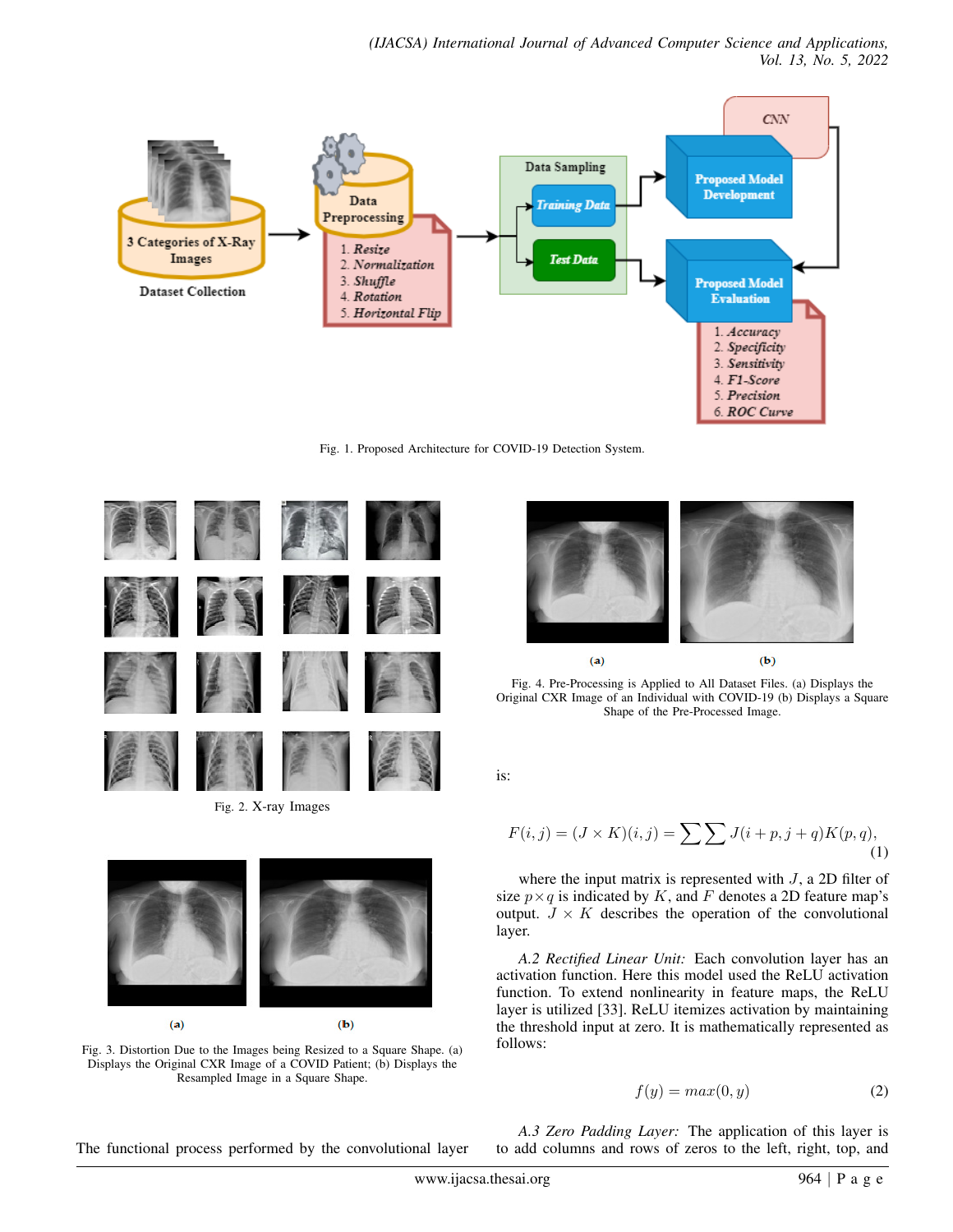

Fig. 1. Proposed Architecture for COVID-19 Detection System.



Fig. 2. X-ray Images



Fig. 3. Distortion Due to the Images being Resized to a Square Shape. (a) Displays the Original CXR Image of a COVID Patient; (b) Displays the Resampled Image in a Square Shape.



Fig. 4. Pre-Processing is Applied to All Dataset Files. (a) Displays the Original CXR Image of an Individual with COVID-19 (b) Displays a Square Shape of the Pre-Processed Image.

is:

$$
F(i,j) = (J \times K)(i,j) = \sum \sum J(i+p, j+q)K(p,q),
$$
\n(1)

where the input matrix is represented with  $J$ , a 2D filter of size  $p \times q$  is indicated by K, and F denotes a 2D feature map's output.  $J \times K$  describes the operation of the convolutional layer.

*A.2 Rectified Linear Unit:* Each convolution layer has an activation function. Here this model used the ReLU activation function. To extend nonlinearity in feature maps, the ReLU layer is utilized [33]. ReLU itemizes activation by maintaining the threshold input at zero. It is mathematically represented as follows:

$$
f(y) = max(0, y)
$$
 (2)

The functional process performed by the convolutional layer

*A.3 Zero Padding Layer:* The application of this layer is to add columns and rows of zeros to the left, right, top, and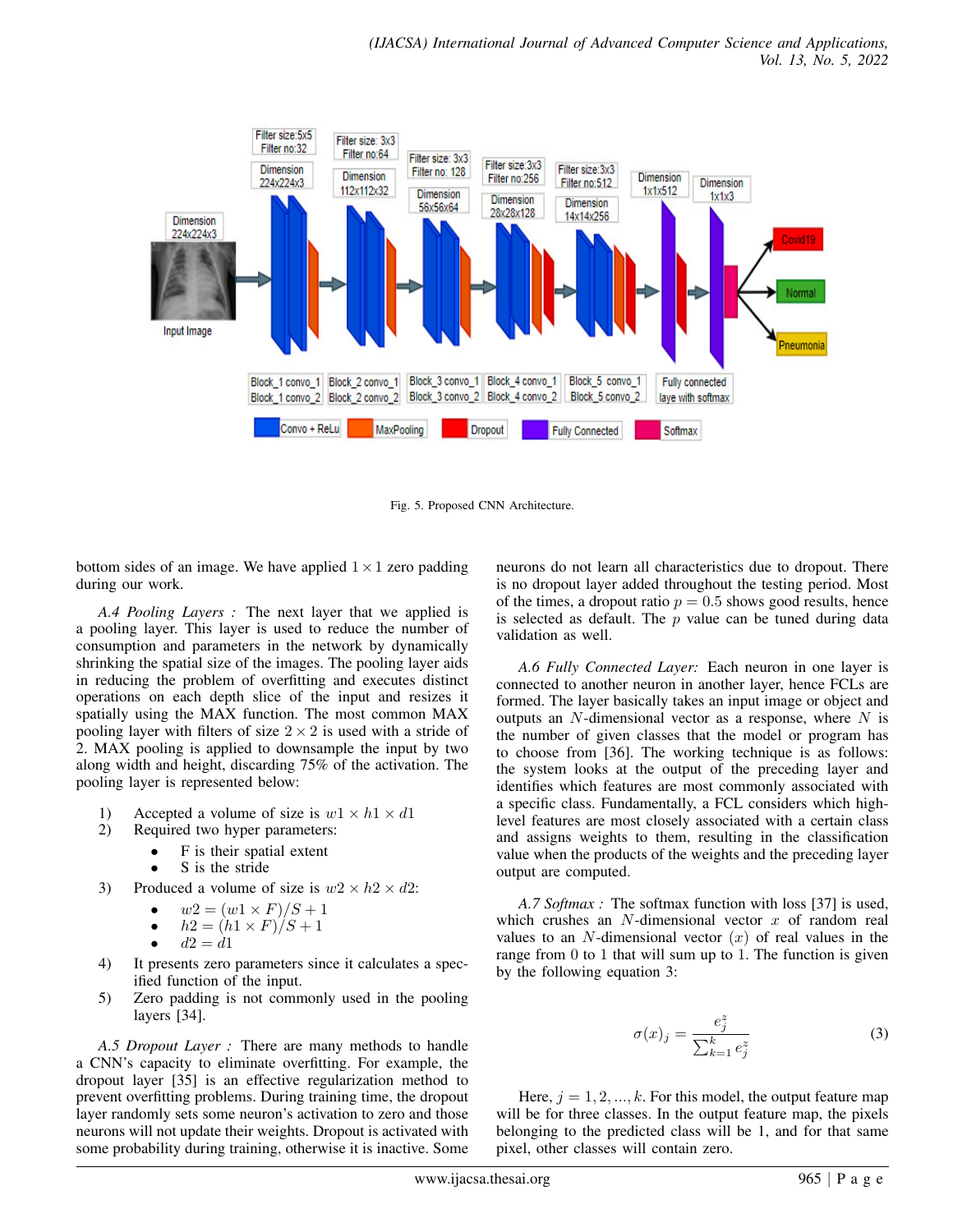

Fig. 5. Proposed CNN Architecture.

bottom sides of an image. We have applied  $1 \times 1$  zero padding during our work.

*A.4 Pooling Layers :* The next layer that we applied is a pooling layer. This layer is used to reduce the number of consumption and parameters in the network by dynamically shrinking the spatial size of the images. The pooling layer aids in reducing the problem of overfitting and executes distinct operations on each depth slice of the input and resizes it spatially using the MAX function. The most common MAX pooling layer with filters of size  $2 \times 2$  is used with a stride of 2. MAX pooling is applied to downsample the input by two along width and height, discarding 75% of the activation. The pooling layer is represented below:

- 1) Accepted a volume of size is  $w1 \times h1 \times d1$
- 2) Required two hyper parameters:
	- F is their spatial extent
	- S is the stride
- 3) Produced a volume of size is  $w2 \times h2 \times d2$ :
	- $w2 = (w1 \times F)/S + 1$
	- $h2 = (h1 \times F)/S + 1$

$$
\bullet \qquad d2 = d1
$$

- 4) It presents zero parameters since it calculates a specified function of the input.
- 5) Zero padding is not commonly used in the pooling layers [34].

*A.5 Dropout Layer :* There are many methods to handle a CNN's capacity to eliminate overfitting. For example, the dropout layer [35] is an effective regularization method to prevent overfitting problems. During training time, the dropout layer randomly sets some neuron's activation to zero and those neurons will not update their weights. Dropout is activated with some probability during training, otherwise it is inactive. Some

neurons do not learn all characteristics due to dropout. There is no dropout layer added throughout the testing period. Most of the times, a dropout ratio  $p = 0.5$  shows good results, hence is selected as default. The  $p$  value can be tuned during data validation as well.

*A.6 Fully Connected Layer:* Each neuron in one layer is connected to another neuron in another layer, hence FCLs are formed. The layer basically takes an input image or object and outputs an  $N$ -dimensional vector as a response, where  $N$  is the number of given classes that the model or program has to choose from [36]. The working technique is as follows: the system looks at the output of the preceding layer and identifies which features are most commonly associated with a specific class. Fundamentally, a FCL considers which highlevel features are most closely associated with a certain class and assigns weights to them, resulting in the classification value when the products of the weights and the preceding layer output are computed.

*A.7 Softmax :* The softmax function with loss [37] is used, which crushes an  $N$ -dimensional vector  $x$  of random real values to an  $N$ -dimensional vector  $(x)$  of real values in the range from 0 to 1 that will sum up to 1. The function is given by the following equation 3:

$$
\sigma(x)_j = \frac{e_j^z}{\sum_{k=1}^k e_j^z} \tag{3}
$$

Here,  $j = 1, 2, ..., k$ . For this model, the output feature map will be for three classes. In the output feature map, the pixels belonging to the predicted class will be 1, and for that same pixel, other classes will contain zero.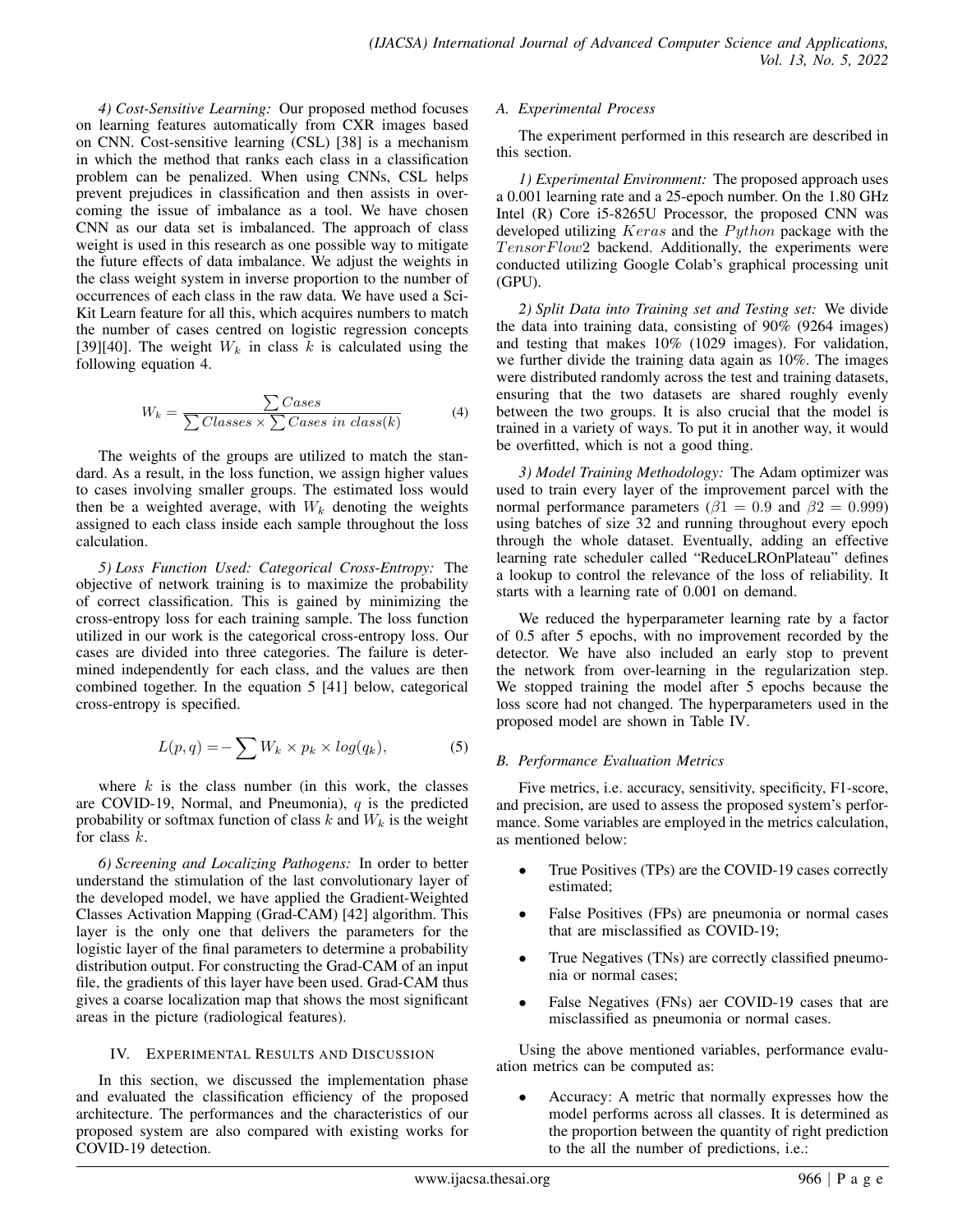*4) Cost-Sensitive Learning:* Our proposed method focuses on learning features automatically from CXR images based on CNN. Cost-sensitive learning (CSL) [38] is a mechanism in which the method that ranks each class in a classification problem can be penalized. When using CNNs, CSL helps prevent prejudices in classification and then assists in overcoming the issue of imbalance as a tool. We have chosen CNN as our data set is imbalanced. The approach of class weight is used in this research as one possible way to mitigate the future effects of data imbalance. We adjust the weights in the class weight system in inverse proportion to the number of occurrences of each class in the raw data. We have used a Sci-Kit Learn feature for all this, which acquires numbers to match the number of cases centred on logistic regression concepts [39][40]. The weight  $W_k$  in class k is calculated using the following equation 4.

$$
W_k = \frac{\sum \text{Cases}}{\sum \text{Classes} \times \sum \text{Cases in class}(k)} \tag{4}
$$

The weights of the groups are utilized to match the standard. As a result, in the loss function, we assign higher values to cases involving smaller groups. The estimated loss would then be a weighted average, with  $W_k$  denoting the weights assigned to each class inside each sample throughout the loss calculation.

*5) Loss Function Used: Categorical Cross-Entropy:* The objective of network training is to maximize the probability of correct classification. This is gained by minimizing the cross-entropy loss for each training sample. The loss function utilized in our work is the categorical cross-entropy loss. Our cases are divided into three categories. The failure is determined independently for each class, and the values are then combined together. In the equation 5 [41] below, categorical cross-entropy is specified.

$$
L(p,q) = -\sum W_k \times p_k \times log(q_k), \qquad (5)
$$

where  $k$  is the class number (in this work, the classes are COVID-19, Normal, and Pneumonia),  $q$  is the predicted probability or softmax function of class  $k$  and  $W_k$  is the weight for class k.

*6) Screening and Localizing Pathogens:* In order to better understand the stimulation of the last convolutionary layer of the developed model, we have applied the Gradient-Weighted Classes Activation Mapping (Grad-CAM) [42] algorithm. This layer is the only one that delivers the parameters for the logistic layer of the final parameters to determine a probability distribution output. For constructing the Grad-CAM of an input file, the gradients of this layer have been used. Grad-CAM thus gives a coarse localization map that shows the most significant areas in the picture (radiological features).

## IV. EXPERIMENTAL RESULTS AND DISCUSSION

In this section, we discussed the implementation phase and evaluated the classification efficiency of the proposed architecture. The performances and the characteristics of our proposed system are also compared with existing works for COVID-19 detection.

## *A. Experimental Process*

The experiment performed in this research are described in this section.

*1) Experimental Environment:* The proposed approach uses a 0.001 learning rate and a 25-epoch number. On the 1.80 GHz Intel (R) Core i5-8265U Processor, the proposed CNN was developed utilizing  $Keras$  and the  $Python$  package with the  $TensorFlow2$  backend. Additionally, the experiments were conducted utilizing Google Colab's graphical processing unit (GPU).

*2) Split Data into Training set and Testing set:* We divide the data into training data, consisting of 90% (9264 images) and testing that makes 10% (1029 images). For validation, we further divide the training data again as 10%. The images were distributed randomly across the test and training datasets, ensuring that the two datasets are shared roughly evenly between the two groups. It is also crucial that the model is trained in a variety of ways. To put it in another way, it would be overfitted, which is not a good thing.

*3) Model Training Methodology:* The Adam optimizer was used to train every layer of the improvement parcel with the normal performance parameters ( $\beta$ 1 = 0.9 and  $\beta$ 2 = 0.999) using batches of size 32 and running throughout every epoch through the whole dataset. Eventually, adding an effective learning rate scheduler called "ReduceLROnPlateau" defines a lookup to control the relevance of the loss of reliability. It starts with a learning rate of 0.001 on demand.

We reduced the hyperparameter learning rate by a factor of 0.5 after 5 epochs, with no improvement recorded by the detector. We have also included an early stop to prevent the network from over-learning in the regularization step. We stopped training the model after 5 epochs because the loss score had not changed. The hyperparameters used in the proposed model are shown in Table IV.

## *B. Performance Evaluation Metrics*

Five metrics, i.e. accuracy, sensitivity, specificity, F1-score, and precision, are used to assess the proposed system's performance. Some variables are employed in the metrics calculation, as mentioned below:

- True Positives (TPs) are the COVID-19 cases correctly estimated;
- False Positives (FPs) are pneumonia or normal cases that are misclassified as COVID-19;
- True Negatives (TNs) are correctly classified pneumonia or normal cases;
- False Negatives (FNs) aer COVID-19 cases that are misclassified as pneumonia or normal cases.

Using the above mentioned variables, performance evaluation metrics can be computed as:

• Accuracy: A metric that normally expresses how the model performs across all classes. It is determined as the proportion between the quantity of right prediction to the all the number of predictions, i.e.: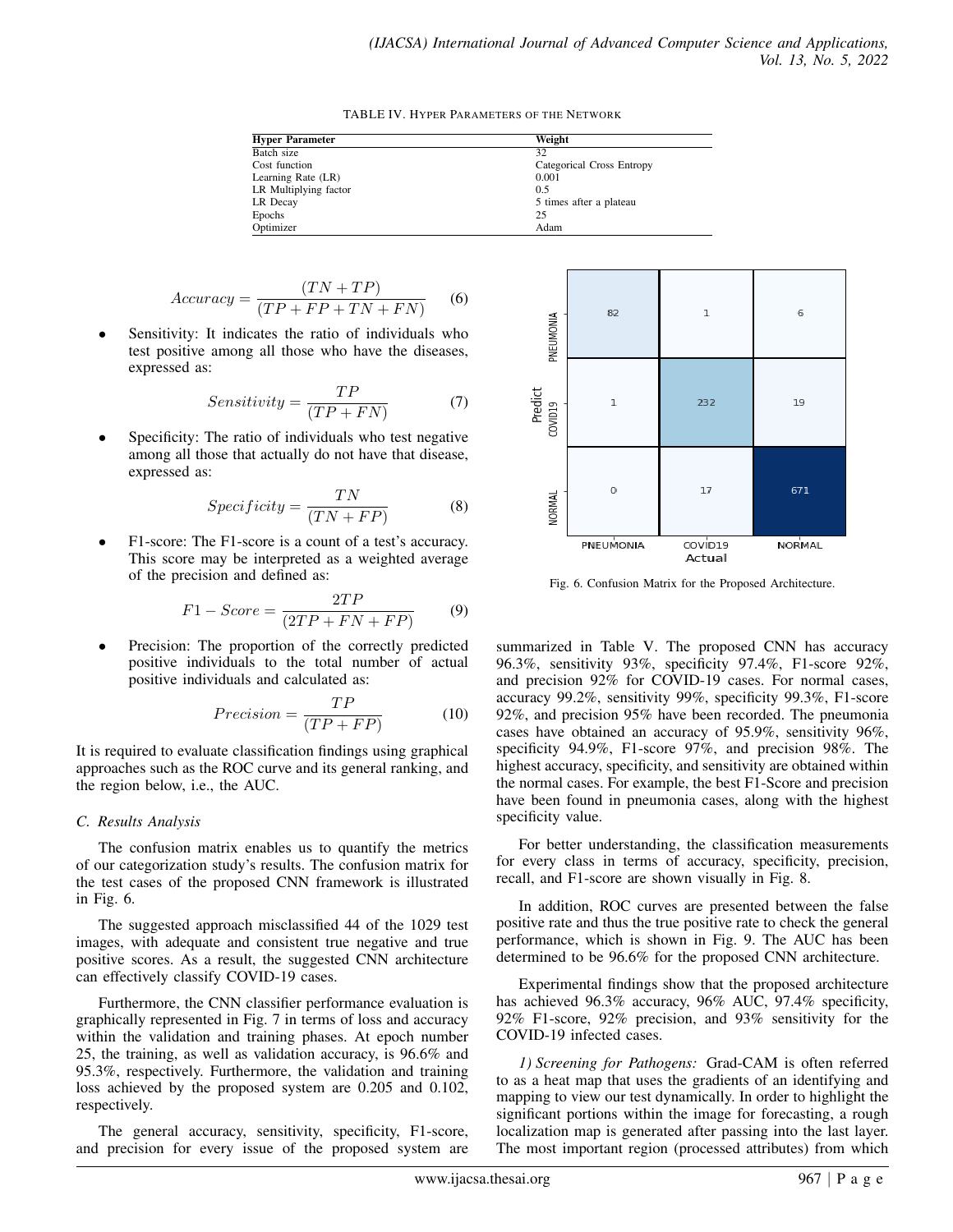TABLE IV. HYPER PARAMETERS OF THE NETWORK

| <b>Hyper Parameter</b> | Weight                    |
|------------------------|---------------------------|
| Batch size             | 32                        |
| Cost function          | Categorical Cross Entropy |
| Learning Rate (LR)     | 0.001                     |
| LR Multiplying factor  | 0.5                       |
| LR Decay               | 5 times after a plateau   |
| Epochs                 | 25                        |
| Optimizer              | Adam                      |

$$
Accuracy = \frac{(TN + TP)}{(TP + FP + TN + FN)} \tag{6}
$$

Sensitivity: It indicates the ratio of individuals who test positive among all those who have the diseases, expressed as:

$$
Sensitivity = \frac{TP}{(TP + FN)}
$$
 (7)

Specificity: The ratio of individuals who test negative among all those that actually do not have that disease, expressed as:

$$
Specificity = \frac{TN}{(TN + FP)}
$$
 (8)

• F1-score: The F1-score is a count of a test's accuracy. This score may be interpreted as a weighted average of the precision and defined as:

$$
F1 - Score = \frac{2TP}{(2TP + FN + FP)}\tag{9}
$$

Precision: The proportion of the correctly predicted positive individuals to the total number of actual positive individuals and calculated as:

$$
Precision = \frac{TP}{(TP + FP)}
$$
 (10)

It is required to evaluate classification findings using graphical approaches such as the ROC curve and its general ranking, and the region below, i.e., the AUC.

#### *C. Results Analysis*

The confusion matrix enables us to quantify the metrics of our categorization study's results. The confusion matrix for the test cases of the proposed CNN framework is illustrated in Fig. 6.

The suggested approach misclassified 44 of the 1029 test images, with adequate and consistent true negative and true positive scores. As a result, the suggested CNN architecture can effectively classify COVID-19 cases.

Furthermore, the CNN classifier performance evaluation is graphically represented in Fig. 7 in terms of loss and accuracy within the validation and training phases. At epoch number 25, the training, as well as validation accuracy, is 96.6% and 95.3%, respectively. Furthermore, the validation and training loss achieved by the proposed system are 0.205 and 0.102, respectively.

The general accuracy, sensitivity, specificity, F1-score, and precision for every issue of the proposed system are



Fig. 6. Confusion Matrix for the Proposed Architecture.

summarized in Table V. The proposed CNN has accuracy 96.3%, sensitivity 93%, specificity 97.4%, F1-score 92%, and precision 92% for COVID-19 cases. For normal cases, accuracy 99.2%, sensitivity 99%, specificity 99.3%, F1-score 92%, and precision 95% have been recorded. The pneumonia cases have obtained an accuracy of 95.9%, sensitivity 96%, specificity 94.9%, F1-score 97%, and precision 98%. The highest accuracy, specificity, and sensitivity are obtained within the normal cases. For example, the best F1-Score and precision have been found in pneumonia cases, along with the highest specificity value.

For better understanding, the classification measurements for every class in terms of accuracy, specificity, precision, recall, and F1-score are shown visually in Fig. 8.

In addition, ROC curves are presented between the false positive rate and thus the true positive rate to check the general performance, which is shown in Fig. 9. The AUC has been determined to be 96.6% for the proposed CNN architecture.

Experimental findings show that the proposed architecture has achieved 96.3% accuracy, 96% AUC, 97.4% specificity, 92% F1-score, 92% precision, and 93% sensitivity for the COVID-19 infected cases.

*1) Screening for Pathogens:* Grad-CAM is often referred to as a heat map that uses the gradients of an identifying and mapping to view our test dynamically. In order to highlight the significant portions within the image for forecasting, a rough localization map is generated after passing into the last layer. The most important region (processed attributes) from which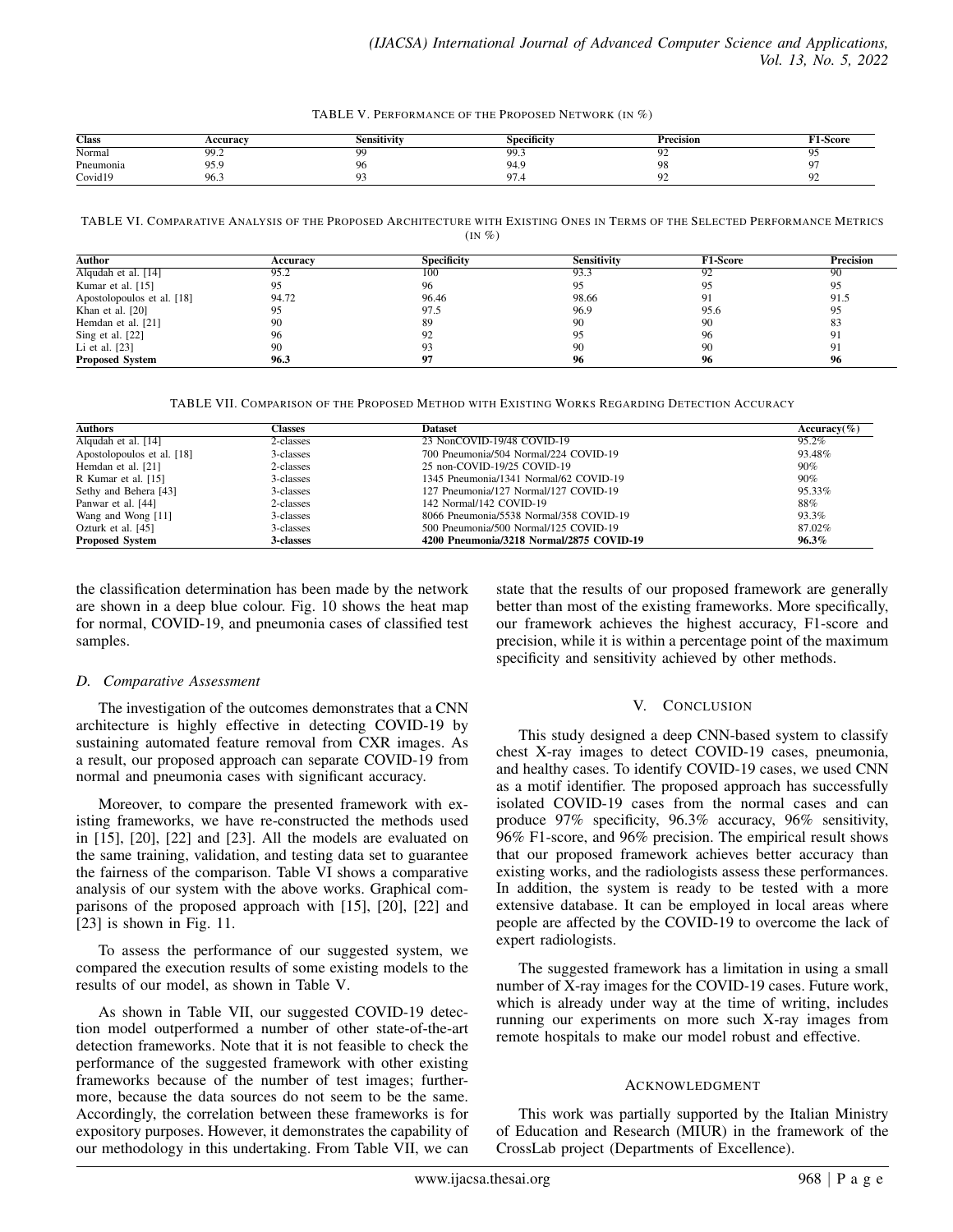TABLE V. PERFORMANCE OF THE PROPOSED NETWORK (IN %)

| <b>Class</b> | <b>ceuracy</b> | .sensitivity       | $\cdot$<br>Specificity | Precision | †1-Score |
|--------------|----------------|--------------------|------------------------|-----------|----------|
| Normal       | 99.2           | $\sim$             | QQ<br>フフ・コ             | $\sim$    |          |
| Pneumonia    | 95<br>フコ・コ     | O,                 | 94 C<br>᠇.,            | 98        |          |
| Covid19      | 96.3           | $\curvearrowright$ |                        |           |          |

TABLE VI. COMPARATIVE ANALYSIS OF THE PROPOSED ARCHITECTURE WITH EXISTING ONES IN TERMS OF THE SELECTED PERFORMANCE METRICS  $\left(\text{IN } \% \right)$ 

| Author                           | Accuracy | <b>Specificity</b> | <b>Sensitivity</b> | <b>F1-Score</b> | <b>Precision</b> |
|----------------------------------|----------|--------------------|--------------------|-----------------|------------------|
| $\overline{$ Alqudah et al. [14] | 95.2     | 100                | 93.3               | 92              | 90               |
| Kumar et al. $[15]$              | 95       | 96                 | 95                 | 95              | 95               |
| Apostolopoulos et al. [18]       | 94.72    | 96.46              | 98.66              | 91              | 91.5             |
| Khan et al. $[20]$               | 95       | 97.5               | 96.9               | 95.6            | 95               |
| Hemdan et al. [21]               | 90       | 89                 | 90                 | 90              | 83               |
| Sing et al. [22]                 | 96       | 92                 | 95                 | 96              |                  |
| Li et al. [23]                   | 90       | 93                 | 90                 | 90              | 91               |
| <b>Proposed System</b>           | 96.3     | 97                 | 96                 | 96              | 96               |

TABLE VII. COMPARISON OF THE PROPOSED METHOD WITH EXISTING WORKS REGARDING DETECTION ACCURACY

| <b>Authors</b><br>Classes  |           | <b>Dataset</b>                           | Accuracy $(\% )$ |
|----------------------------|-----------|------------------------------------------|------------------|
| Alqudah et al. [14]        | 2-classes | 23 NonCOVID-19/48 COVID-19               | 95.2%            |
| Apostolopoulos et al. [18] | 3-classes | 700 Pneumonia/504 Normal/224 COVID-19    | 93.48%           |
| Hemdan et al. [21]         | 2-classes | 25 non-COVID-19/25 COVID-19              | 90%              |
| R Kumar et al. [15]        | 3-classes | 1345 Pneumonia/1341 Normal/62 COVID-19   | 90%              |
| Sethy and Behera [43]      | 3-classes | 127 Pneumonia/127 Normal/127 COVID-19    | 95.33%           |
| Panwar et al. [44]         | 2-classes | 142 Normal/142 COVID-19                  | 88%              |
| Wang and Wong [11]         | 3-classes | 8066 Pneumonia/5538 Normal/358 COVID-19  | 93.3%            |
| Ozturk et al. [45]         | 3-classes | 500 Pneumonia/500 Normal/125 COVID-19    | 87.02%           |
| <b>Proposed System</b>     | 3-classes | 4200 Pneumonia/3218 Normal/2875 COVID-19 | $96.3\%$         |

the classification determination has been made by the network are shown in a deep blue colour. Fig. 10 shows the heat map for normal, COVID-19, and pneumonia cases of classified test samples.

## *D. Comparative Assessment*

The investigation of the outcomes demonstrates that a CNN architecture is highly effective in detecting COVID-19 by sustaining automated feature removal from CXR images. As a result, our proposed approach can separate COVID-19 from normal and pneumonia cases with significant accuracy.

Moreover, to compare the presented framework with existing frameworks, we have re-constructed the methods used in [15], [20], [22] and [23]. All the models are evaluated on the same training, validation, and testing data set to guarantee the fairness of the comparison. Table VI shows a comparative analysis of our system with the above works. Graphical comparisons of the proposed approach with [15], [20], [22] and [23] is shown in Fig. 11.

To assess the performance of our suggested system, we compared the execution results of some existing models to the results of our model, as shown in Table V.

As shown in Table VII, our suggested COVID-19 detection model outperformed a number of other state-of-the-art detection frameworks. Note that it is not feasible to check the performance of the suggested framework with other existing frameworks because of the number of test images; furthermore, because the data sources do not seem to be the same. Accordingly, the correlation between these frameworks is for expository purposes. However, it demonstrates the capability of our methodology in this undertaking. From Table VII, we can state that the results of our proposed framework are generally better than most of the existing frameworks. More specifically, our framework achieves the highest accuracy, F1-score and precision, while it is within a percentage point of the maximum specificity and sensitivity achieved by other methods.

## V. CONCLUSION

This study designed a deep CNN-based system to classify chest X-ray images to detect COVID-19 cases, pneumonia, and healthy cases. To identify COVID-19 cases, we used CNN as a motif identifier. The proposed approach has successfully isolated COVID-19 cases from the normal cases and can produce 97% specificity, 96.3% accuracy, 96% sensitivity, 96% F1-score, and 96% precision. The empirical result shows that our proposed framework achieves better accuracy than existing works, and the radiologists assess these performances. In addition, the system is ready to be tested with a more extensive database. It can be employed in local areas where people are affected by the COVID-19 to overcome the lack of expert radiologists.

The suggested framework has a limitation in using a small number of X-ray images for the COVID-19 cases. Future work, which is already under way at the time of writing, includes running our experiments on more such X-ray images from remote hospitals to make our model robust and effective.

## **ACKNOWLEDGMENT**

This work was partially supported by the Italian Ministry of Education and Research (MIUR) in the framework of the CrossLab project (Departments of Excellence).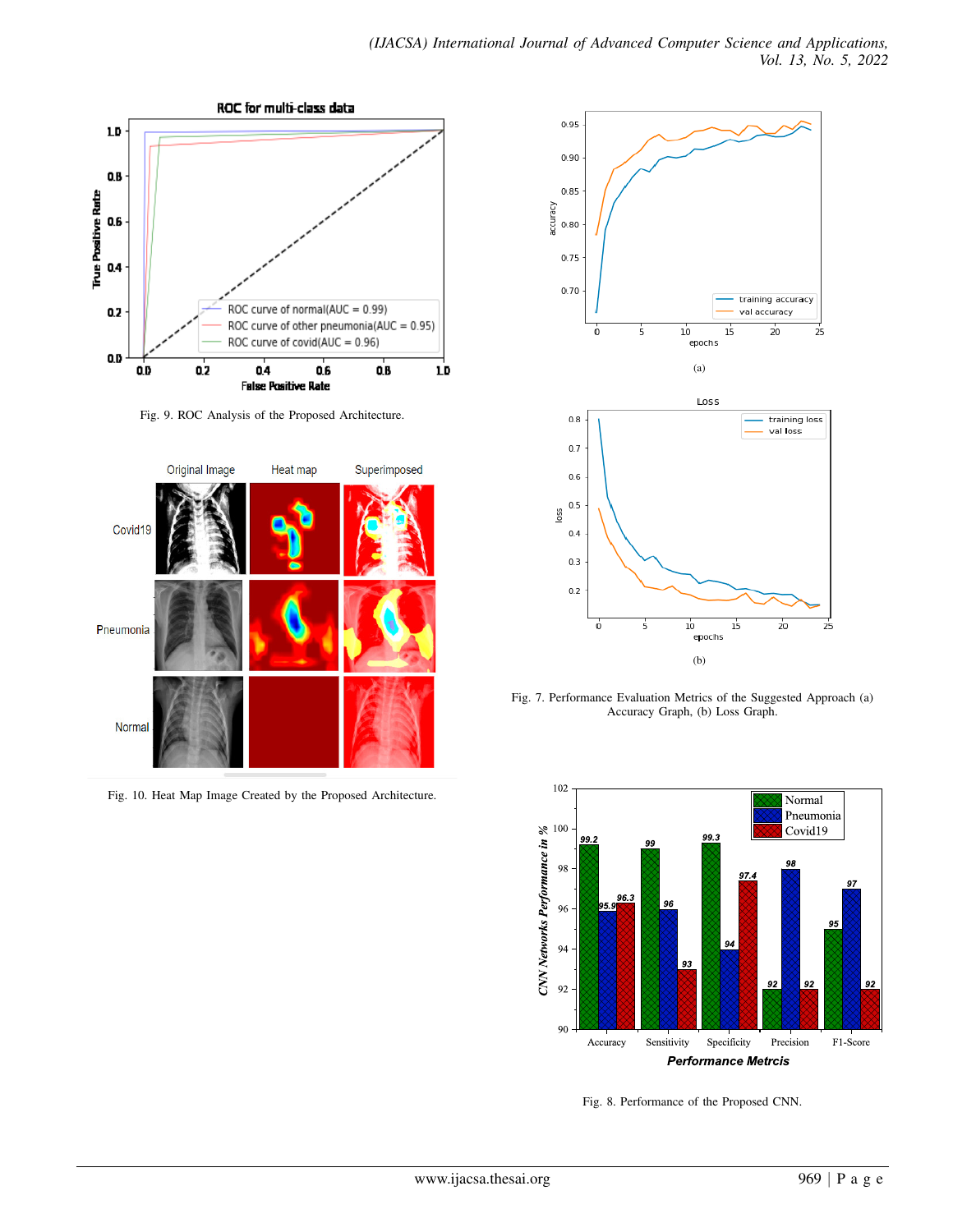

Fig. 9. ROC Analysis of the Proposed Architecture.



Fig. 10. Heat Map Image Created by the Proposed Architecture.



Fig. 7. Performance Evaluation Metrics of the Suggested Approach (a) Accuracy Graph, (b) Loss Graph.



Fig. 8. Performance of the Proposed CNN.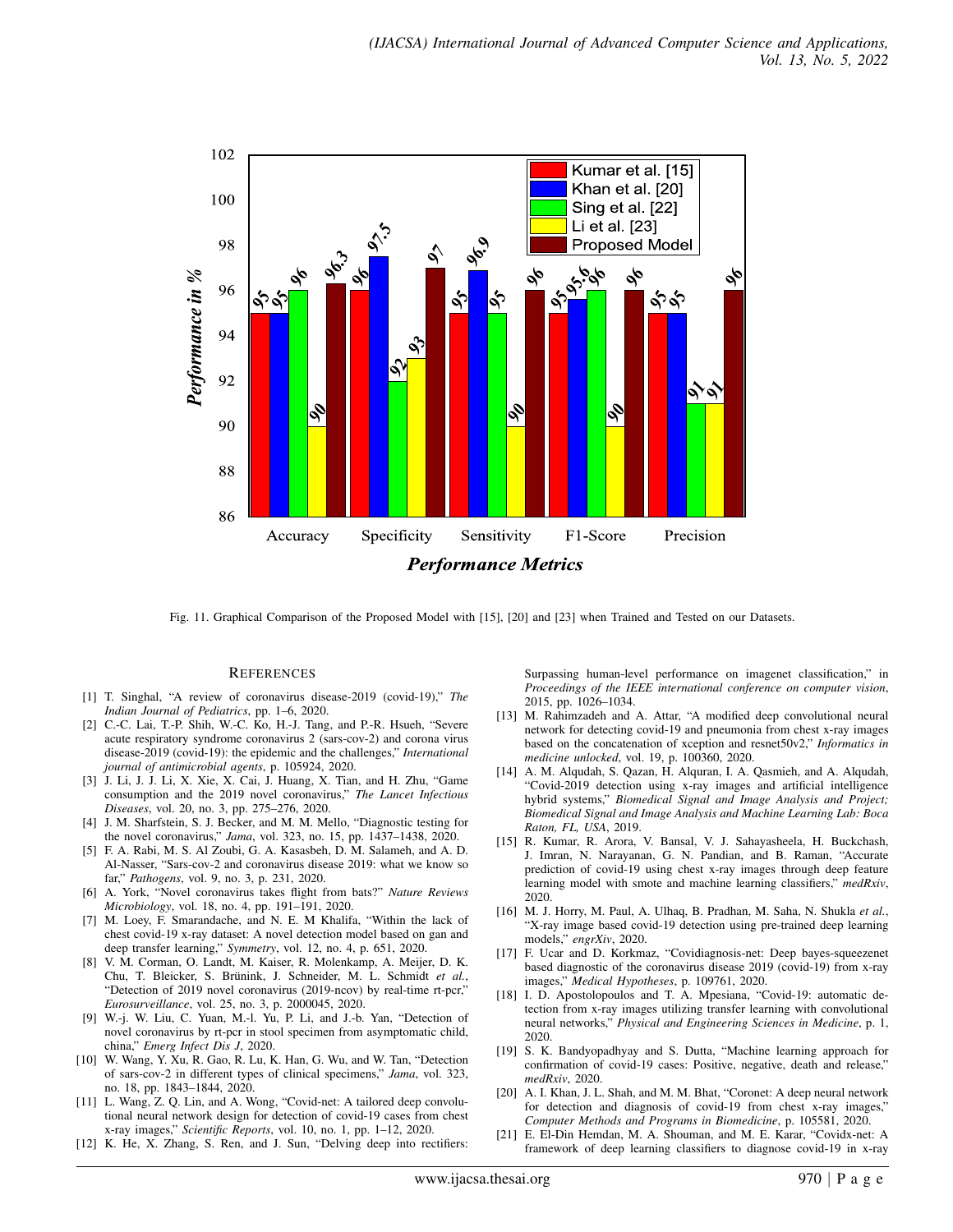

Fig. 11. Graphical Comparison of the Proposed Model with [15], [20] and [23] when Trained and Tested on our Datasets.

#### **REFERENCES**

- [1] T. Singhal, "A review of coronavirus disease-2019 (covid-19)," *The Indian Journal of Pediatrics*, pp. 1–6, 2020.
- [2] C.-C. Lai, T.-P. Shih, W.-C. Ko, H.-J. Tang, and P.-R. Hsueh, "Severe acute respiratory syndrome coronavirus 2 (sars-cov-2) and corona virus disease-2019 (covid-19): the epidemic and the challenges," *International journal of antimicrobial agents*, p. 105924, 2020.
- [3] J. Li, J. J. Li, X. Xie, X. Cai, J. Huang, X. Tian, and H. Zhu, "Game consumption and the 2019 novel coronavirus," *The Lancet Infectious Diseases*, vol. 20, no. 3, pp. 275–276, 2020.
- [4] J. M. Sharfstein, S. J. Becker, and M. M. Mello, "Diagnostic testing for the novel coronavirus," *Jama*, vol. 323, no. 15, pp. 1437–1438, 2020.
- [5] F. A. Rabi, M. S. Al Zoubi, G. A. Kasasbeh, D. M. Salameh, and A. D. Al-Nasser, "Sars-cov-2 and coronavirus disease 2019: what we know so far," *Pathogens*, vol. 9, no. 3, p. 231, 2020.
- [6] A. York, "Novel coronavirus takes flight from bats?" *Nature Reviews Microbiology*, vol. 18, no. 4, pp. 191–191, 2020.
- [7] M. Loey, F. Smarandache, and N. E. M Khalifa, "Within the lack of chest covid-19 x-ray dataset: A novel detection model based on gan and deep transfer learning," *Symmetry*, vol. 12, no. 4, p. 651, 2020.
- [8] V. M. Corman, O. Landt, M. Kaiser, R. Molenkamp, A. Meijer, D. K. Chu, T. Bleicker, S. Brünink, J. Schneider, M. L. Schmidt et al., "Detection of 2019 novel coronavirus (2019-ncov) by real-time rt-pcr," *Eurosurveillance*, vol. 25, no. 3, p. 2000045, 2020.
- [9] W.-j. W. Liu, C. Yuan, M.-l. Yu, P. Li, and J.-b. Yan, "Detection of novel coronavirus by rt-pcr in stool specimen from asymptomatic child, china," *Emerg Infect Dis J*, 2020.
- [10] W. Wang, Y. Xu, R. Gao, R. Lu, K. Han, G. Wu, and W. Tan, "Detection of sars-cov-2 in different types of clinical specimens," *Jama*, vol. 323, no. 18, pp. 1843–1844, 2020.
- [11] L. Wang, Z. Q. Lin, and A. Wong, "Covid-net: A tailored deep convolutional neural network design for detection of covid-19 cases from chest x-ray images," *Scientific Reports*, vol. 10, no. 1, pp. 1–12, 2020.
- [12] K. He, X. Zhang, S. Ren, and J. Sun, "Delving deep into rectifiers:

Surpassing human-level performance on imagenet classification," in *Proceedings of the IEEE international conference on computer vision*, 2015, pp. 1026–1034.

- [13] M. Rahimzadeh and A. Attar, "A modified deep convolutional neural network for detecting covid-19 and pneumonia from chest x-ray images based on the concatenation of xception and resnet50v2," *Informatics in medicine unlocked*, vol. 19, p. 100360, 2020.
- [14] A. M. Alqudah, S. Qazan, H. Alquran, I. A. Qasmieh, and A. Alqudah, "Covid-2019 detection using x-ray images and artificial intelligence hybrid systems," *Biomedical Signal and Image Analysis and Project; Biomedical Signal and Image Analysis and Machine Learning Lab: Boca Raton, FL, USA*, 2019.
- [15] R. Kumar, R. Arora, V. Bansal, V. J. Sahayasheela, H. Buckchash, J. Imran, N. Narayanan, G. N. Pandian, and B. Raman, "Accurate prediction of covid-19 using chest x-ray images through deep feature learning model with smote and machine learning classifiers," *medRxiv*, 2020.
- [16] M. J. Horry, M. Paul, A. Ulhaq, B. Pradhan, M. Saha, N. Shukla *et al.*, "X-ray image based covid-19 detection using pre-trained deep learning models," *engrXiv*, 2020.
- [17] F. Ucar and D. Korkmaz, "Covidiagnosis-net: Deep bayes-squeezenet based diagnostic of the coronavirus disease 2019 (covid-19) from x-ray images," *Medical Hypotheses*, p. 109761, 2020.
- [18] I. D. Apostolopoulos and T. A. Mpesiana, "Covid-19: automatic detection from x-ray images utilizing transfer learning with convolutional neural networks," *Physical and Engineering Sciences in Medicine*, p. 1, 2020.
- [19] S. K. Bandyopadhyay and S. Dutta, "Machine learning approach for confirmation of covid-19 cases: Positive, negative, death and release," *medRxiv*, 2020.
- [20] A. I. Khan, J. L. Shah, and M. M. Bhat, "Coronet: A deep neural network for detection and diagnosis of covid-19 from chest x-ray images, *Computer Methods and Programs in Biomedicine*, p. 105581, 2020.
- [21] E. El-Din Hemdan, M. A. Shouman, and M. E. Karar, "Covidx-net: A framework of deep learning classifiers to diagnose covid-19 in x-ray